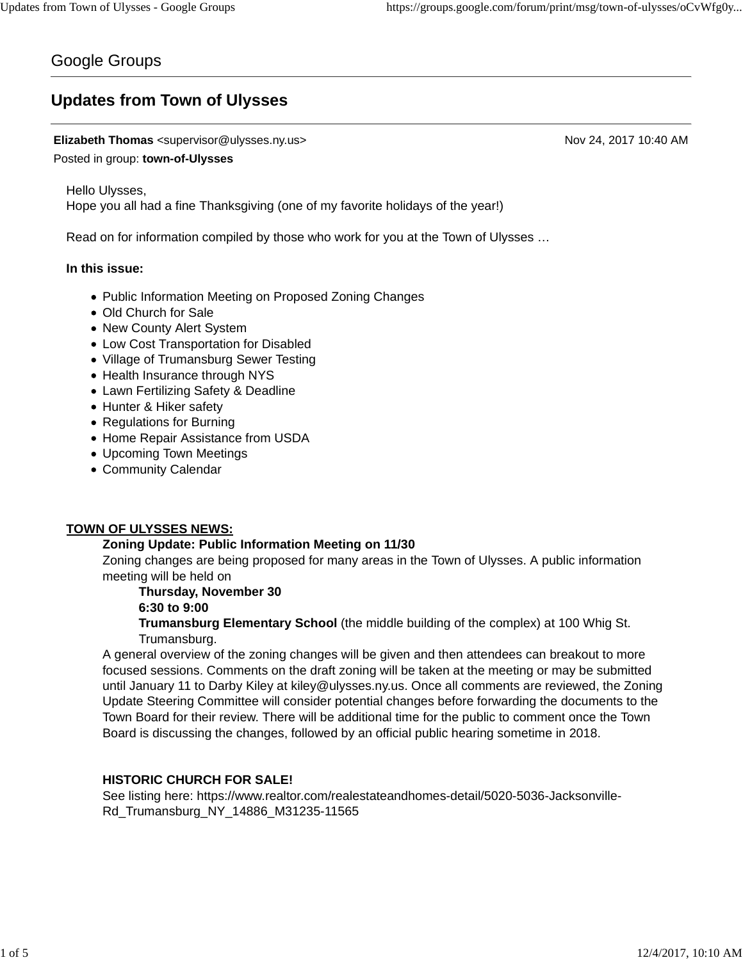## Google Groups

# **Updates from Town of Ulysses**

## **Elizabeth Thomas** <supervisor@ulysses.ny.us> Nov 24, 2017 10:40 AM

## Posted in group: **town-of-Ulysses**

Hello Ulysses, Hope you all had a fine Thanksgiving (one of my favorite holidays of the year!)

Read on for information compiled by those who work for you at the Town of Ulysses …

## **In this issue:**

- Public Information Meeting on Proposed Zoning Changes
- Old Church for Sale
- New County Alert System
- Low Cost Transportation for Disabled
- Village of Trumansburg Sewer Testing
- Health Insurance through NYS
- Lawn Fertilizing Safety & Deadline
- Hunter & Hiker safety
- Regulations for Burning
- Home Repair Assistance from USDA
- Upcoming Town Meetings
- Community Calendar

## **TOWN OF ULYSSES NEWS:**

## **Zoning Update: Public Information Meeting on 11/30**

Zoning changes are being proposed for many areas in the Town of Ulysses. A public information meeting will be held on

## **Thursday, November 30**

## **6:30 to 9:00**

**Trumansburg Elementary School** (the middle building of the complex) at 100 Whig St. Trumansburg.

A general overview of the zoning changes will be given and then attendees can breakout to more focused sessions. Comments on the draft zoning will be taken at the meeting or may be submitted until January 11 to Darby Kiley at kiley@ulysses.ny.us. Once all comments are reviewed, the Zoning Update Steering Committee will consider potential changes before forwarding the documents to the Town Board for their review. There will be additional time for the public to comment once the Town Board is discussing the changes, followed by an official public hearing sometime in 2018.

## **HISTORIC CHURCH FOR SALE!**

See listing here: https://www.realtor.com/realestateandhomes-detail/5020-5036-Jacksonville-Rd\_Trumansburg\_NY\_14886\_M31235-11565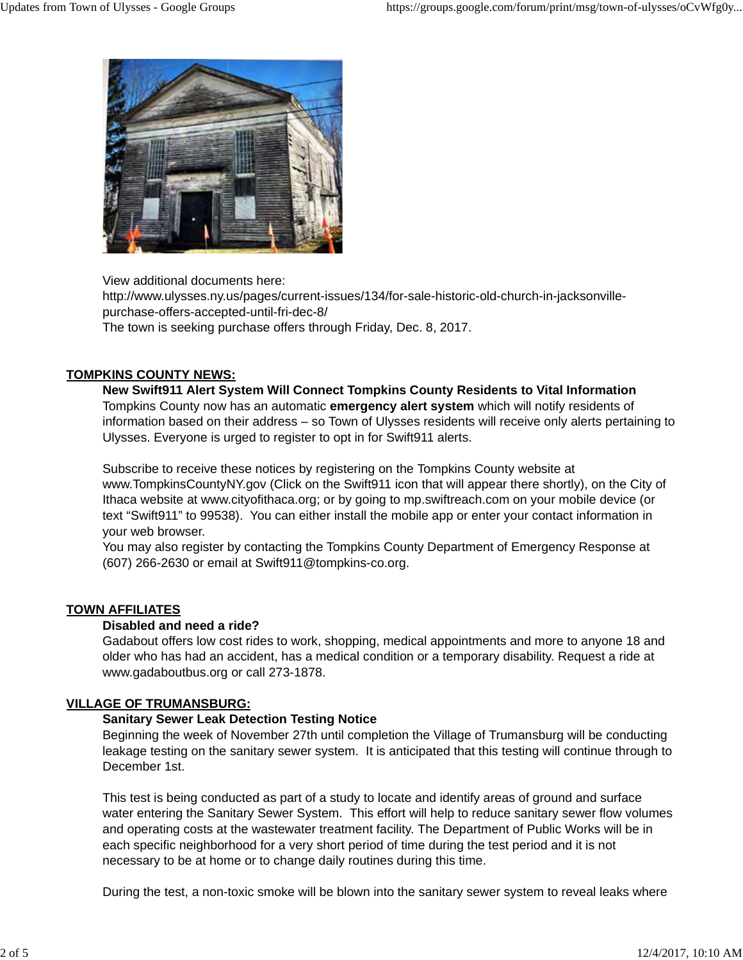

View additional documents here:

http://www.ulysses.ny.us/pages/current-issues/134/for-sale-historic-old-church-in-jacksonvillepurchase-offers-accepted-until-fri-dec-8/

The town is seeking purchase offers through Friday, Dec. 8, 2017.

## **TOMPKINS COUNTY NEWS:**

**New Swift911 Alert System Will Connect Tompkins County Residents to Vital Information** Tompkins County now has an automatic **emergency alert system** which will notify residents of information based on their address – so Town of Ulysses residents will receive only alerts pertaining to Ulysses. Everyone is urged to register to opt in for Swift911 alerts.

Subscribe to receive these notices by registering on the Tompkins County website at www.TompkinsCountyNY.gov (Click on the Swift911 icon that will appear there shortly), on the City of Ithaca website at www.cityofithaca.org; or by going to mp.swiftreach.com on your mobile device (or text "Swift911" to 99538). You can either install the mobile app or enter your contact information in your web browser.

You may also register by contacting the Tompkins County Department of Emergency Response at (607) 266-2630 or email at Swift911@tompkins-co.org.

## **TOWN AFFILIATES**

## **Disabled and need a ride?**

Gadabout offers low cost rides to work, shopping, medical appointments and more to anyone 18 and older who has had an accident, has a medical condition or a temporary disability. Request a ride at www.gadaboutbus.org or call 273-1878.

## **VILLAGE OF TRUMANSBURG:**

## **Sanitary Sewer Leak Detection Testing Notice**

Beginning the week of November 27th until completion the Village of Trumansburg will be conducting leakage testing on the sanitary sewer system. It is anticipated that this testing will continue through to December 1st.

This test is being conducted as part of a study to locate and identify areas of ground and surface water entering the Sanitary Sewer System. This effort will help to reduce sanitary sewer flow volumes and operating costs at the wastewater treatment facility. The Department of Public Works will be in each specific neighborhood for a very short period of time during the test period and it is not necessary to be at home or to change daily routines during this time.

During the test, a non-toxic smoke will be blown into the sanitary sewer system to reveal leaks where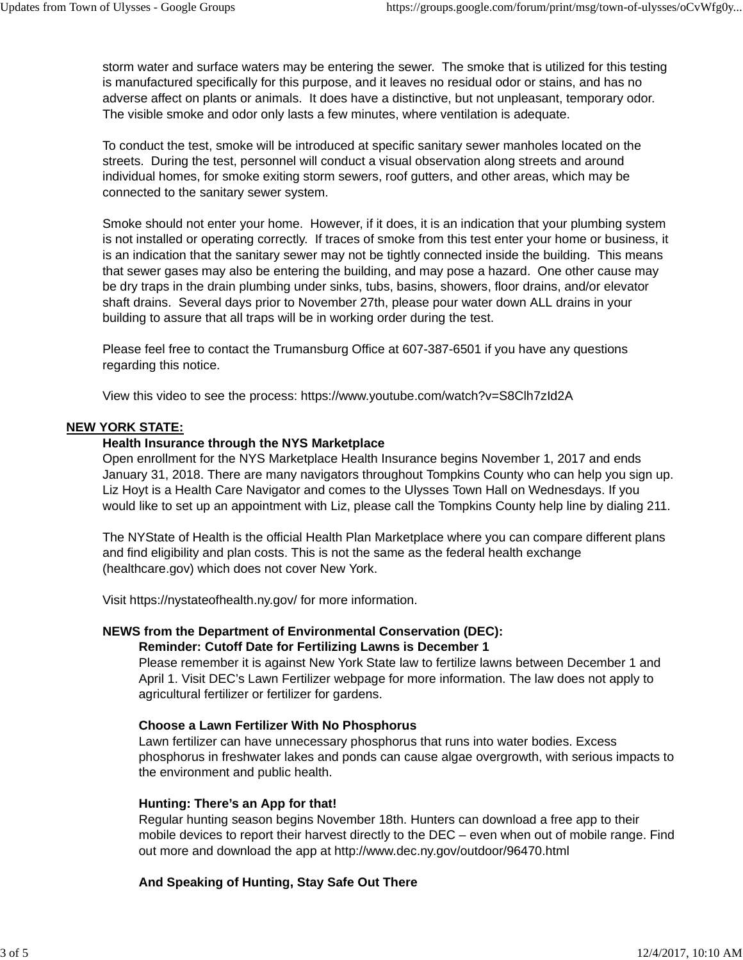storm water and surface waters may be entering the sewer. The smoke that is utilized for this testing is manufactured specifically for this purpose, and it leaves no residual odor or stains, and has no adverse affect on plants or animals. It does have a distinctive, but not unpleasant, temporary odor. The visible smoke and odor only lasts a few minutes, where ventilation is adequate.

To conduct the test, smoke will be introduced at specific sanitary sewer manholes located on the streets. During the test, personnel will conduct a visual observation along streets and around individual homes, for smoke exiting storm sewers, roof gutters, and other areas, which may be connected to the sanitary sewer system.

Smoke should not enter your home. However, if it does, it is an indication that your plumbing system is not installed or operating correctly. If traces of smoke from this test enter your home or business, it is an indication that the sanitary sewer may not be tightly connected inside the building. This means that sewer gases may also be entering the building, and may pose a hazard. One other cause may be dry traps in the drain plumbing under sinks, tubs, basins, showers, floor drains, and/or elevator shaft drains. Several days prior to November 27th, please pour water down ALL drains in your building to assure that all traps will be in working order during the test.

Please feel free to contact the Trumansburg Office at 607-387-6501 if you have any questions regarding this notice.

View this video to see the process: https://www.youtube.com/watch?v=S8Clh7zId2A

#### **NEW YORK STATE:**

#### **Health Insurance through the NYS Marketplace**

Open enrollment for the NYS Marketplace Health Insurance begins November 1, 2017 and ends January 31, 2018. There are many navigators throughout Tompkins County who can help you sign up. Liz Hoyt is a Health Care Navigator and comes to the Ulysses Town Hall on Wednesdays. If you would like to set up an appointment with Liz, please call the Tompkins County help line by dialing 211.

The NYState of Health is the official Health Plan Marketplace where you can compare different plans and find eligibility and plan costs. This is not the same as the federal health exchange (healthcare.gov) which does not cover New York.

Visit https://nystateofhealth.ny.gov/ for more information.

#### **NEWS from the Department of Environmental Conservation (DEC):**

#### **Reminder: Cutoff Date for Fertilizing Lawns is December 1**

Please remember it is against New York State law to fertilize lawns between December 1 and April 1. Visit DEC's Lawn Fertilizer webpage for more information. The law does not apply to agricultural fertilizer or fertilizer for gardens.

#### **Choose a Lawn Fertilizer With No Phosphorus**

Lawn fertilizer can have unnecessary phosphorus that runs into water bodies. Excess phosphorus in freshwater lakes and ponds can cause algae overgrowth, with serious impacts to the environment and public health.

#### **Hunting: There's an App for that!**

Regular hunting season begins November 18th. Hunters can download a free app to their mobile devices to report their harvest directly to the DEC – even when out of mobile range. Find out more and download the app at http://www.dec.ny.gov/outdoor/96470.html

**And Speaking of Hunting, Stay Safe Out There**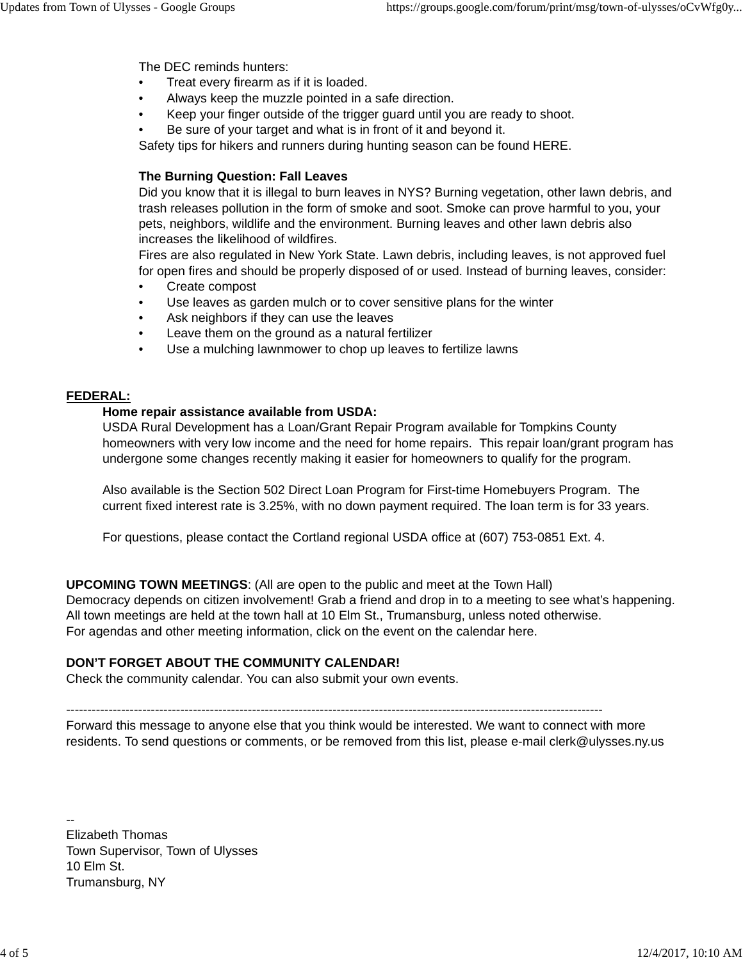The DEC reminds hunters:

- Treat every firearm as if it is loaded.
- Always keep the muzzle pointed in a safe direction.
- Keep your finger outside of the trigger guard until you are ready to shoot.
- Be sure of your target and what is in front of it and beyond it.

Safety tips for hikers and runners during hunting season can be found HERE.

## **The Burning Question: Fall Leaves**

Did you know that it is illegal to burn leaves in NYS? Burning vegetation, other lawn debris, and trash releases pollution in the form of smoke and soot. Smoke can prove harmful to you, your pets, neighbors, wildlife and the environment. Burning leaves and other lawn debris also increases the likelihood of wildfires.

Fires are also regulated in New York State. Lawn debris, including leaves, is not approved fuel for open fires and should be properly disposed of or used. Instead of burning leaves, consider:

- Create compost
- Use leaves as garden mulch or to cover sensitive plans for the winter
- Ask neighbors if they can use the leaves
- Leave them on the ground as a natural fertilizer
- Use a mulching lawnmower to chop up leaves to fertilize lawns

#### **FEDERAL:**

#### **Home repair assistance available from USDA:**

USDA Rural Development has a Loan/Grant Repair Program available for Tompkins County homeowners with very low income and the need for home repairs. This repair loan/grant program has undergone some changes recently making it easier for homeowners to qualify for the program.

Also available is the Section 502 Direct Loan Program for First-time Homebuyers Program. The current fixed interest rate is 3.25%, with no down payment required. The loan term is for 33 years.

For questions, please contact the Cortland regional USDA office at (607) 753-0851 Ext. 4.

**UPCOMING TOWN MEETINGS**: (All are open to the public and meet at the Town Hall) Democracy depends on citizen involvement! Grab a friend and drop in to a meeting to see what's happening. All town meetings are held at the town hall at 10 Elm St., Trumansburg, unless noted otherwise. For agendas and other meeting information, click on the event on the calendar here.

## **DON'T FORGET ABOUT THE COMMUNITY CALENDAR!**

Check the community calendar. You can also submit your own events.

-------------------------------------------------------------------------------------------------------------------------------

Forward this message to anyone else that you think would be interested. We want to connect with more residents. To send questions or comments, or be removed from this list, please e-mail clerk@ulysses.ny.us

-- Elizabeth Thomas Town Supervisor, Town of Ulysses 10 Elm St. Trumansburg, NY